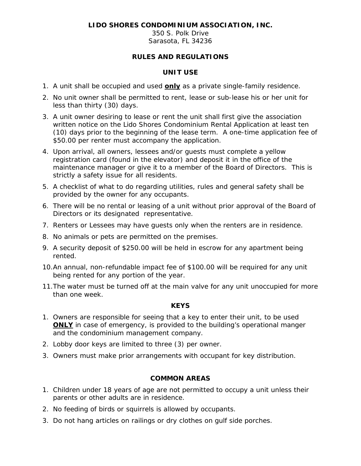## **LIDO SHORES CONDOMINIUM ASSOCIATION, INC.**

350 S. Polk Drive Sarasota, FL 34236

## **RULES AND REGULATIONS**

### **UNIT USE**

- 1. A unit shall be occupied and used **only** as a private single-family residence.
- 2. No unit owner shall be permitted to rent, lease or sub-lease his or her unit for less than thirty (30) days.
- 3. A unit owner desiring to lease or rent the unit shall first give the association written notice on the Lido Shores Condominium Rental Application at least ten (10) days prior to the beginning of the lease term. A one-time application fee of \$50.00 per renter must accompany the application.
- 4. Upon arrival, all owners, lessees and/or guests must complete a yellow registration card (found in the elevator) and deposit it in the office of the maintenance manager or give it to a member of the Board of Directors. This is strictly a safety issue for all residents.
- 5. A checklist of what to do regarding utilities, rules and general safety shall be provided by the owner for any occupants.
- 6. There will be no rental or leasing of a unit without prior approval of the Board of Directors or its designated representative.
- 7. Renters or Lessees may have guests only when the renters are in residence.
- 8. No animals or pets are permitted on the premises.
- 9. A security deposit of \$250.00 will be held in escrow for any apartment being rented.
- 10.An annual, non-refundable impact fee of \$100.00 will be required for any unit being rented for any portion of the year.
- 11.The water must be turned off at the main valve for any unit unoccupied for more than one week.

#### **KEYS**

- 1. Owners are responsible for seeing that a key to enter their unit, to be used **ONLY** in case of emergency, is provided to the building's operational manger and the condominium management company.
- 2. Lobby door keys are limited to three (3) per owner.
- 3. Owners must make prior arrangements with occupant for key distribution.

### **COMMON AREAS**

- 1. Children under 18 years of age are not permitted to occupy a unit unless their parents or other adults are in residence.
- 2. No feeding of birds or squirrels is allowed by occupants.
- 3. Do not hang articles on railings or dry clothes on gulf side porches.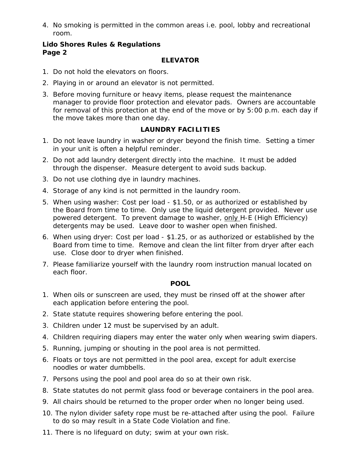4. No smoking is permitted in the common areas i.e. pool, lobby and recreational room.

#### **Lido Shores Rules & Regulations Page 2**

#### **ELEVATOR**

- 1. Do not hold the elevators on floors.
- 2. Playing in or around an elevator is not permitted.
- 3. Before moving furniture or heavy items, please request the maintenance manager to provide floor protection and elevator pads. Owners are accountable for removal of this protection at the end of the move or by 5:00 p.m. each day if the move takes more than one day.

# **LAUNDRY FACILITIES**

- 1. Do not leave laundry in washer or dryer beyond the finish time. Setting a timer in your unit is often a helpful reminder.
- 2. Do not add laundry detergent directly into the machine. It must be added through the dispenser. Measure detergent to avoid suds backup.
- 3. Do not use clothing dye in laundry machines.
- 4. Storage of any kind is not permitted in the laundry room.
- 5. When using washer: Cost per load \$1.50, or as authorized or established by the Board from time to time. Only use the liquid detergent provided. Never use powered detergent. To prevent damage to washer, only H-E (High Efficiency) detergents may be used. Leave door to washer open when finished.
- 6. When using dryer: Cost per load \$1.25, or as authorized or established by the Board from time to time. Remove and clean the lint filter from dryer after each use. Close door to dryer when finished.
- 7. Please familiarize yourself with the laundry room instruction manual located on each floor.

#### **POOL**

- 1. When oils or sunscreen are used, they must be rinsed off at the shower after each application before entering the pool.
- 2. State statute requires showering before entering the pool.
- 3. Children under 12 must be supervised by an adult.
- 4. Children requiring diapers may enter the water only when wearing swim diapers.
- 5. Running, jumping or shouting in the pool area is not permitted.
- 6. Floats or toys are not permitted in the pool area, except for adult exercise noodles or water dumbbells.
- 7. Persons using the pool and pool area do so at their own risk.
- 8. State statutes do not permit glass food or beverage containers in the pool area.
- 9. All chairs should be returned to the proper order when no longer being used.
- 10. The nylon divider safety rope must be re-attached after using the pool. Failure to do so may result in a State Code Violation and fine.
- 11. There is no lifeguard on duty; swim at your own risk.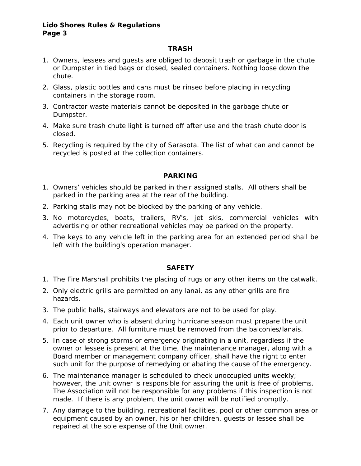#### **Lido Shores Rules & Regulations Page 3**

## **TRASH**

- 1. Owners, lessees and guests are obliged to deposit trash or garbage in the chute or Dumpster in tied bags or closed, sealed containers. Nothing loose down the chute.
- 2. Glass, plastic bottles and cans must be rinsed before placing in recycling containers in the storage room.
- 3. Contractor waste materials cannot be deposited in the garbage chute or Dumpster.
- 4. Make sure trash chute light is turned off after use and the trash chute door is closed.
- 5. Recycling is required by the city of Sarasota. The list of what can and cannot be recycled is posted at the collection containers.

# **PARKING**

- 1. Owners' vehicles should be parked in their assigned stalls. All others shall be parked in the parking area at the rear of the building.
- 2. Parking stalls may not be blocked by the parking of any vehicle.
- 3. No motorcycles, boats, trailers, RV's, jet skis, commercial vehicles with advertising or other recreational vehicles may be parked on the property.
- 4. The keys to any vehicle left in the parking area for an extended period shall be left with the building's operation manager.

#### **SAFETY**

- 1. The Fire Marshall prohibits the placing of rugs or any other items on the catwalk.
- 2. Only electric grills are permitted on any lanai, as any other grills are fire hazards.
- 3. The public halls, stairways and elevators are not to be used for play.
- 4. Each unit owner who is absent during hurricane season must prepare the unit prior to departure. All furniture must be removed from the balconies/lanais.
- 5. In case of strong storms or emergency originating in a unit, regardless if the owner or lessee is present at the time, the maintenance manager, along with a Board member or management company officer, shall have the right to enter such unit for the purpose of remedying or abating the cause of the emergency.
- 6. The maintenance manager is scheduled to check unoccupied units weekly; however, the unit owner is responsible for assuring the unit is free of problems. The Association will not be responsible for any problems if this inspection is not made. If there is any problem, the unit owner will be notified promptly.
- 7. Any damage to the building, recreational facilities, pool or other common area or equipment caused by an owner, his or her children, guests or lessee shall be repaired at the sole expense of the Unit owner.